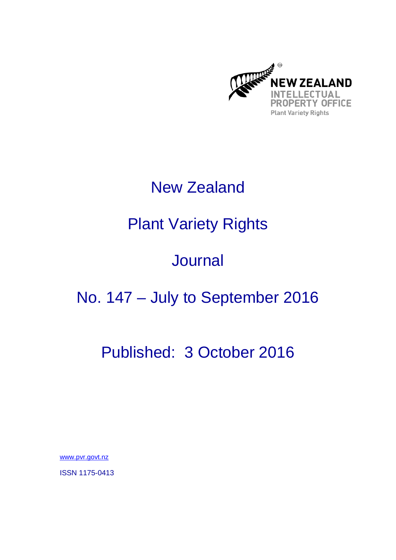

## New Zealand

# Plant Variety Rights

## Journal

# No. 147 – July to September 2016

# Published: 3 October 2016

www.pvr.govt.nz

ISSN 1175-0413